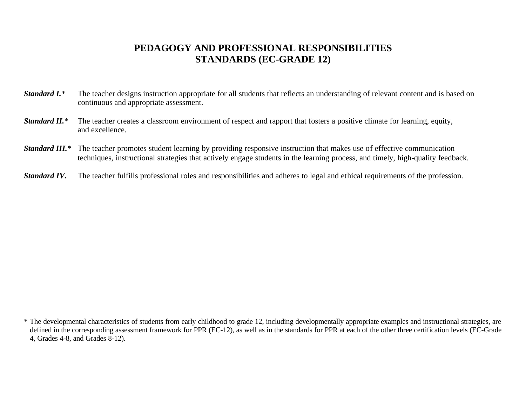## **PEDAGOGY AND PROFESSIONAL RESPONSIBILITIES STANDARDS (EC-GRADE 12)**

- **Standard I.**<sup>\*</sup> The teacher designs instruction appropriate for all students that reflects an understanding of relevant content and is based on continuous and appropriate assessment.
- *Standard II.* The teacher creates a classroom environment of respect and rapport that fosters a positive climate for learning, equity, and excellence.
- *Standard III.* The teacher promotes student learning by providing responsive instruction that makes use of effective communication techniques, instructional strategies that actively engage students in the learning process, and timely, high-quality feedback.
- *Standard IV.* The teacher fulfills professional roles and responsibilities and adheres to legal and ethical requirements of the profession.

<sup>\*</sup> The developmental characteristics of students from early childhood to grade 12, including developmentally appropriate examples and instructional strategies, are defined in the corresponding assessment framework for PPR (EC-12), as well as in the standards for PPR at each of the other three certification levels (EC-Grade 4, Grades 4-8, and Grades 8-12).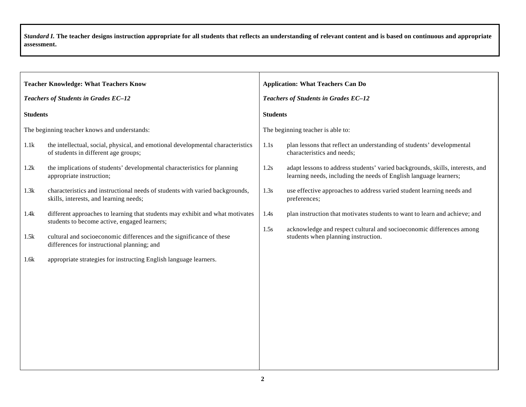|                                              | <b>Teacher Knowledge: What Teachers Know</b>                                                                                  |                                      | <b>Application: What Teachers Can Do</b>                                                                                                           |  |
|----------------------------------------------|-------------------------------------------------------------------------------------------------------------------------------|--------------------------------------|----------------------------------------------------------------------------------------------------------------------------------------------------|--|
| Teachers of Students in Grades EC-12         |                                                                                                                               | Teachers of Students in Grades EC-12 |                                                                                                                                                    |  |
| <b>Students</b>                              |                                                                                                                               | <b>Students</b>                      |                                                                                                                                                    |  |
| The beginning teacher knows and understands: |                                                                                                                               |                                      | The beginning teacher is able to:                                                                                                                  |  |
| 1.1k                                         | the intellectual, social, physical, and emotional developmental characteristics<br>of students in different age groups;       | 1.1s                                 | plan lessons that reflect an understanding of students' developmental<br>characteristics and needs;                                                |  |
| 1.2k                                         | the implications of students' developmental characteristics for planning<br>appropriate instruction;                          | 1.2s                                 | adapt lessons to address students' varied backgrounds, skills, interests, and<br>learning needs, including the needs of English language learners; |  |
| 1.3k                                         | characteristics and instructional needs of students with varied backgrounds,<br>skills, interests, and learning needs;        | 1.3s                                 | use effective approaches to address varied student learning needs and<br>preferences;                                                              |  |
| 1.4k                                         | different approaches to learning that students may exhibit and what motivates<br>students to become active, engaged learners; | 1.4s                                 | plan instruction that motivates students to want to learn and achieve; and                                                                         |  |
| 1.5k                                         | cultural and socioeconomic differences and the significance of these<br>differences for instructional planning; and           | 1.5s                                 | acknowledge and respect cultural and socioeconomic differences among<br>students when planning instruction.                                        |  |
| 1.6k                                         | appropriate strategies for instructing English language learners.                                                             |                                      |                                                                                                                                                    |  |
|                                              |                                                                                                                               |                                      |                                                                                                                                                    |  |
|                                              |                                                                                                                               |                                      |                                                                                                                                                    |  |
|                                              |                                                                                                                               |                                      |                                                                                                                                                    |  |
|                                              |                                                                                                                               |                                      |                                                                                                                                                    |  |
|                                              |                                                                                                                               |                                      |                                                                                                                                                    |  |
|                                              |                                                                                                                               |                                      |                                                                                                                                                    |  |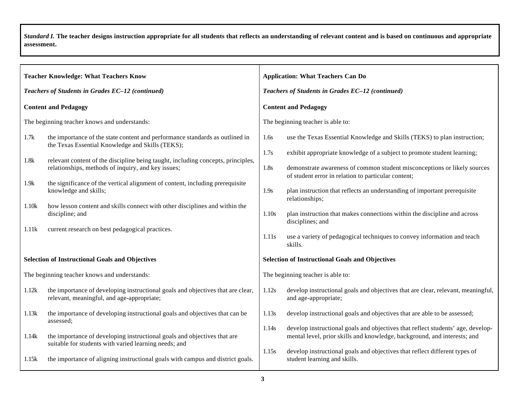| <b>Teacher Knowledge: What Teachers Know</b>     |                                                                                                                                   | <b>Application: What Teachers Can Do</b> |                                                                                                                                                             |  |
|--------------------------------------------------|-----------------------------------------------------------------------------------------------------------------------------------|------------------------------------------|-------------------------------------------------------------------------------------------------------------------------------------------------------------|--|
| Teachers of Students in Grades EC-12 (continued) |                                                                                                                                   |                                          | Teachers of Students in Grades EC-12 (continued)                                                                                                            |  |
|                                                  | <b>Content and Pedagogy</b>                                                                                                       |                                          | <b>Content and Pedagogy</b>                                                                                                                                 |  |
|                                                  | The beginning teacher knows and understands:                                                                                      |                                          | The beginning teacher is able to:                                                                                                                           |  |
| 1.7k                                             | the importance of the state content and performance standards as outlined in<br>the Texas Essential Knowledge and Skills (TEKS);  | 1.6s                                     | use the Texas Essential Knowledge and Skills (TEKS) to plan instruction;                                                                                    |  |
| 1.8k                                             | relevant content of the discipline being taught, including concepts, principles,                                                  | 1.7s                                     | exhibit appropriate knowledge of a subject to promote student learning;                                                                                     |  |
|                                                  | relationships, methods of inquiry, and key issues;                                                                                | 1.8s                                     | demonstrate awareness of common student misconceptions or likely sources<br>of student error in relation to particular content;                             |  |
| 1.9k                                             | the significance of the vertical alignment of content, including prerequisite<br>knowledge and skills;                            | 1.9s                                     | plan instruction that reflects an understanding of important prerequisite<br>relationships;                                                                 |  |
| 1.10k                                            | how lesson content and skills connect with other disciplines and within the<br>discipline; and                                    | 1.10s                                    | plan instruction that makes connections within the discipline and across<br>disciplines; and                                                                |  |
| 1.11k                                            | current research on best pedagogical practices.                                                                                   | 1.11s                                    | use a variety of pedagogical techniques to convey information and teach<br>skills.                                                                          |  |
|                                                  | <b>Selection of Instructional Goals and Objectives</b>                                                                            |                                          | <b>Selection of Instructional Goals and Objectives</b>                                                                                                      |  |
|                                                  | The beginning teacher knows and understands:                                                                                      |                                          | The beginning teacher is able to:                                                                                                                           |  |
| 1.12k                                            | the importance of developing instructional goals and objectives that are clear,<br>relevant, meaningful, and age-appropriate;     | 1.12s                                    | develop instructional goals and objectives that are clear, relevant, meaningful,<br>and age-appropriate;                                                    |  |
| 1.13k                                            | the importance of developing instructional goals and objectives that can be<br>assessed;                                          | 1.13s                                    | develop instructional goals and objectives that are able to be assessed;                                                                                    |  |
| 1.14k                                            | the importance of developing instructional goals and objectives that are<br>suitable for students with varied learning needs; and | 1.14s                                    | develop instructional goals and objectives that reflect students' age, develop-<br>mental level, prior skills and knowledge, background, and interests; and |  |
| 1.15k                                            | the importance of aligning instructional goals with campus and district goals.                                                    | 1.15s                                    | develop instructional goals and objectives that reflect different types of<br>student learning and skills.                                                  |  |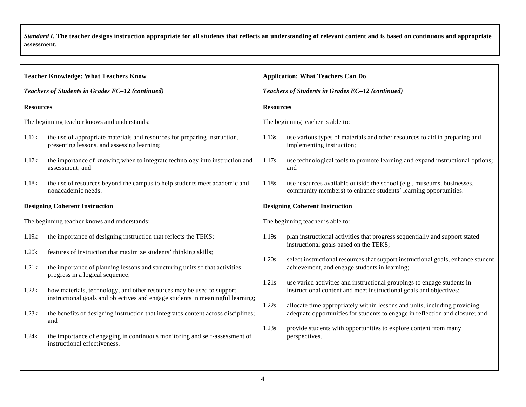| <b>Teacher Knowledge: What Teachers Know</b>     |                                                                                                                                                         |                                       | <b>Application: What Teachers Can Do</b>                                                                                                                  |  |  |
|--------------------------------------------------|---------------------------------------------------------------------------------------------------------------------------------------------------------|---------------------------------------|-----------------------------------------------------------------------------------------------------------------------------------------------------------|--|--|
| Teachers of Students in Grades EC-12 (continued) |                                                                                                                                                         |                                       | Teachers of Students in Grades EC-12 (continued)                                                                                                          |  |  |
| <b>Resources</b>                                 |                                                                                                                                                         | <b>Resources</b>                      |                                                                                                                                                           |  |  |
| The beginning teacher knows and understands:     |                                                                                                                                                         |                                       | The beginning teacher is able to:                                                                                                                         |  |  |
| 1.16k                                            | the use of appropriate materials and resources for preparing instruction,<br>presenting lessons, and assessing learning;                                | 1.16s                                 | use various types of materials and other resources to aid in preparing and<br>implementing instruction;                                                   |  |  |
| 1.17k                                            | the importance of knowing when to integrate technology into instruction and<br>assessment; and                                                          | 1.17s                                 | use technological tools to promote learning and expand instructional options;<br>and                                                                      |  |  |
| 1.18k                                            | the use of resources beyond the campus to help students meet academic and<br>nonacademic needs.                                                         | 1.18s                                 | use resources available outside the school (e.g., museums, businesses,<br>community members) to enhance students' learning opportunities.                 |  |  |
| <b>Designing Coherent Instruction</b>            |                                                                                                                                                         | <b>Designing Coherent Instruction</b> |                                                                                                                                                           |  |  |
| The beginning teacher knows and understands:     |                                                                                                                                                         | The beginning teacher is able to:     |                                                                                                                                                           |  |  |
| 1.19k                                            | the importance of designing instruction that reflects the TEKS;                                                                                         | 1.19s                                 | plan instructional activities that progress sequentially and support stated<br>instructional goals based on the TEKS;                                     |  |  |
| 1.20k                                            | features of instruction that maximize students' thinking skills;                                                                                        | 1.20s                                 | select instructional resources that support instructional goals, enhance student                                                                          |  |  |
| 1.21k                                            | the importance of planning lessons and structuring units so that activities<br>progress in a logical sequence;                                          | 1.21s<br>1.22s                        | achievement, and engage students in learning;                                                                                                             |  |  |
| 1.22k                                            | how materials, technology, and other resources may be used to support<br>instructional goals and objectives and engage students in meaningful learning; |                                       | use varied activities and instructional groupings to engage students in<br>instructional content and meet instructional goals and objectives;             |  |  |
| 1.23k                                            | the benefits of designing instruction that integrates content across disciplines;<br>and                                                                |                                       | allocate time appropriately within lessons and units, including providing<br>adequate opportunities for students to engage in reflection and closure; and |  |  |
| 1.24k                                            | the importance of engaging in continuous monitoring and self-assessment of<br>instructional effectiveness.                                              | 1.23s                                 | provide students with opportunities to explore content from many<br>perspectives.                                                                         |  |  |
|                                                  |                                                                                                                                                         |                                       |                                                                                                                                                           |  |  |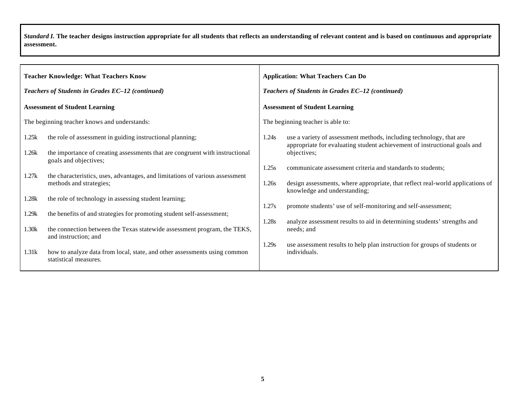|                                                  | <b>Teacher Knowledge: What Teachers Know</b>                                                          |       | <b>Application: What Teachers Can Do</b>                                                                                                         |  |  |
|--------------------------------------------------|-------------------------------------------------------------------------------------------------------|-------|--------------------------------------------------------------------------------------------------------------------------------------------------|--|--|
| Teachers of Students in Grades EC-12 (continued) |                                                                                                       |       | Teachers of Students in Grades EC-12 (continued)                                                                                                 |  |  |
|                                                  | <b>Assessment of Student Learning</b>                                                                 |       | <b>Assessment of Student Learning</b>                                                                                                            |  |  |
|                                                  | The beginning teacher knows and understands:                                                          |       | The beginning teacher is able to:                                                                                                                |  |  |
| 1.25k                                            | the role of assessment in guiding instructional planning;                                             | 1.24s | use a variety of assessment methods, including technology, that are<br>appropriate for evaluating student achievement of instructional goals and |  |  |
| 1.26k                                            | the importance of creating assessments that are congruent with instructional<br>goals and objectives; |       | objectives;                                                                                                                                      |  |  |
| 1.27k                                            | the characteristics, uses, advantages, and limitations of various assessment                          | 1.25s | communicate assessment criteria and standards to students;                                                                                       |  |  |
|                                                  | methods and strategies;                                                                               | 1.26s | design assessments, where appropriate, that reflect real-world applications of<br>knowledge and understanding;                                   |  |  |
| 1.28k                                            | the role of technology in assessing student learning;                                                 |       |                                                                                                                                                  |  |  |
| 1.29k                                            | the benefits of and strategies for promoting student self-assessment;                                 | 1.27s | promote students' use of self-monitoring and self-assessment;                                                                                    |  |  |
| 1.30k                                            | the connection between the Texas statewide assessment program, the TEKS,<br>and instruction; and      | 1.28s | analyze assessment results to aid in determining students' strengths and<br>needs; and                                                           |  |  |
| 1.31k                                            | how to analyze data from local, state, and other assessments using common<br>statistical measures.    | 1.29s | use assessment results to help plan instruction for groups of students or<br>individuals.                                                        |  |  |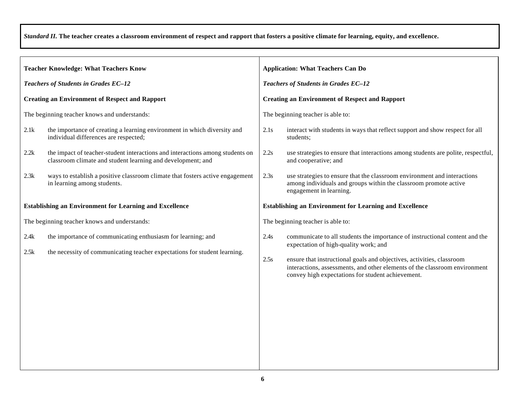| <b>Teacher Knowledge: What Teachers Know</b>                                                                                                              | <b>Application: What Teachers Can Do</b>                                                                                                                                                                                                                                                                                                         |  |  |
|-----------------------------------------------------------------------------------------------------------------------------------------------------------|--------------------------------------------------------------------------------------------------------------------------------------------------------------------------------------------------------------------------------------------------------------------------------------------------------------------------------------------------|--|--|
| Teachers of Students in Grades EC-12                                                                                                                      | Teachers of Students in Grades EC-12                                                                                                                                                                                                                                                                                                             |  |  |
| <b>Creating an Environment of Respect and Rapport</b>                                                                                                     | <b>Creating an Environment of Respect and Rapport</b>                                                                                                                                                                                                                                                                                            |  |  |
| The beginning teacher knows and understands:                                                                                                              | The beginning teacher is able to:                                                                                                                                                                                                                                                                                                                |  |  |
| 2.1k<br>the importance of creating a learning environment in which diversity and<br>individual differences are respected;                                 | 2.1s<br>interact with students in ways that reflect support and show respect for all<br>students;                                                                                                                                                                                                                                                |  |  |
| the impact of teacher-student interactions and interactions among students on<br>2.2k<br>classroom climate and student learning and development; and      | 2.2s<br>use strategies to ensure that interactions among students are polite, respectful,<br>and cooperative; and                                                                                                                                                                                                                                |  |  |
| 2.3k<br>ways to establish a positive classroom climate that fosters active engagement<br>in learning among students.                                      | 2.3s<br>use strategies to ensure that the classroom environment and interactions<br>among individuals and groups within the classroom promote active<br>engagement in learning.                                                                                                                                                                  |  |  |
| <b>Establishing an Environment for Learning and Excellence</b>                                                                                            | <b>Establishing an Environment for Learning and Excellence</b>                                                                                                                                                                                                                                                                                   |  |  |
| The beginning teacher knows and understands:                                                                                                              | The beginning teacher is able to:                                                                                                                                                                                                                                                                                                                |  |  |
| the importance of communicating enthusiasm for learning; and<br>2.4k<br>2.5k<br>the necessity of communicating teacher expectations for student learning. | 2.4s<br>communicate to all students the importance of instructional content and the<br>expectation of high-quality work; and<br>ensure that instructional goals and objectives, activities, classroom<br>2.5s<br>interactions, assessments, and other elements of the classroom environment<br>convey high expectations for student achievement. |  |  |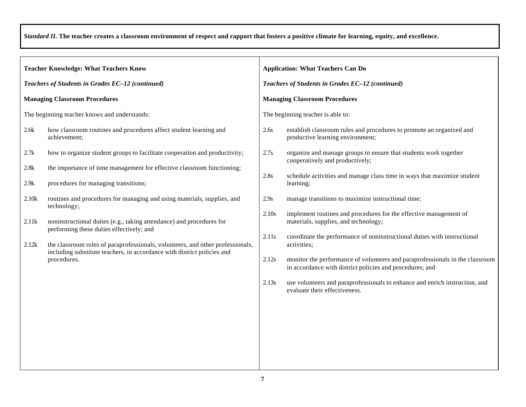|                                                  | <b>Teacher Knowledge: What Teachers Know</b>                                                                                                              |       | <b>Application: What Teachers Can Do</b>                                                                                                 |  |  |
|--------------------------------------------------|-----------------------------------------------------------------------------------------------------------------------------------------------------------|-------|------------------------------------------------------------------------------------------------------------------------------------------|--|--|
| Teachers of Students in Grades EC-12 (continued) |                                                                                                                                                           |       | Teachers of Students in Grades EC-12 (continued)                                                                                         |  |  |
| <b>Managing Classroom Procedures</b>             |                                                                                                                                                           |       | <b>Managing Classroom Procedures</b>                                                                                                     |  |  |
| The beginning teacher knows and understands:     |                                                                                                                                                           |       | The beginning teacher is able to:                                                                                                        |  |  |
| 2.6k                                             | how classroom routines and procedures affect student learning and<br>achievement;                                                                         | 2.6s  | establish classroom rules and procedures to promote an organized and<br>productive learning environment;                                 |  |  |
| 2.7k                                             | how to organize student groups to facilitate cooperation and productivity;                                                                                | 2.7s  | organize and manage groups to ensure that students work together<br>cooperatively and productively;                                      |  |  |
| 2.8k<br>2.9k                                     | the importance of time management for effective classroom functioning;<br>procedures for managing transitions;                                            | 2.8s  | schedule activities and manage class time in ways that maximize student<br>learning;                                                     |  |  |
| 2.10k                                            | routines and procedures for managing and using materials, supplies, and<br>technology;                                                                    | 2.9s  | manage transitions to maximize instructional time;                                                                                       |  |  |
| 2.11k                                            | noninstructional duties (e.g., taking attendance) and procedures for<br>performing these duties effectively; and                                          | 2.10s | implement routines and procedures for the effective management of<br>materials, supplies, and technology;                                |  |  |
| 2.12k                                            | the classroom roles of paraprofessionals, volunteers, and other professionals,<br>including substitute teachers, in accordance with district policies and | 2.11s | coordinate the performance of noninstructional duties with instructional<br>activities;                                                  |  |  |
|                                                  | procedures.                                                                                                                                               | 2.12s | monitor the performance of volunteers and paraprofessionals in the classroom<br>in accordance with district policies and procedures; and |  |  |
|                                                  |                                                                                                                                                           | 2.13s | use volunteers and paraprofessionals to enhance and enrich instruction, and<br>evaluate their effectiveness.                             |  |  |
|                                                  |                                                                                                                                                           |       |                                                                                                                                          |  |  |
|                                                  |                                                                                                                                                           |       |                                                                                                                                          |  |  |
|                                                  |                                                                                                                                                           |       |                                                                                                                                          |  |  |
|                                                  |                                                                                                                                                           |       |                                                                                                                                          |  |  |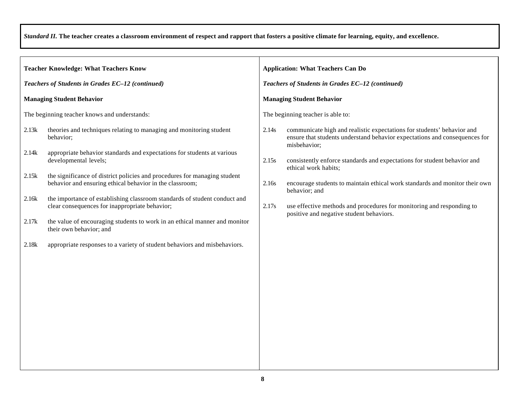| <b>Teacher Knowledge: What Teachers Know</b>     |                                                                                                                                       | <b>Application: What Teachers Can Do</b>         |                                                                                                                                                                      |  |  |
|--------------------------------------------------|---------------------------------------------------------------------------------------------------------------------------------------|--------------------------------------------------|----------------------------------------------------------------------------------------------------------------------------------------------------------------------|--|--|
| Teachers of Students in Grades EC-12 (continued) |                                                                                                                                       | Teachers of Students in Grades EC-12 (continued) |                                                                                                                                                                      |  |  |
| <b>Managing Student Behavior</b>                 |                                                                                                                                       |                                                  | <b>Managing Student Behavior</b>                                                                                                                                     |  |  |
| The beginning teacher knows and understands:     |                                                                                                                                       |                                                  | The beginning teacher is able to:                                                                                                                                    |  |  |
| 2.13k                                            | theories and techniques relating to managing and monitoring student<br>behavior;                                                      | 2.14s                                            | communicate high and realistic expectations for students' behavior and<br>ensure that students understand behavior expectations and consequences for<br>misbehavior; |  |  |
| 2.14k                                            | appropriate behavior standards and expectations for students at various<br>developmental levels;                                      | 2.15s                                            | consistently enforce standards and expectations for student behavior and<br>ethical work habits;                                                                     |  |  |
| 2.15k                                            | the significance of district policies and procedures for managing student<br>behavior and ensuring ethical behavior in the classroom; | 2.16s                                            | encourage students to maintain ethical work standards and monitor their own<br>behavior; and                                                                         |  |  |
| 2.16k                                            | the importance of establishing classroom standards of student conduct and<br>clear consequences for inappropriate behavior;           | 2.17s                                            | use effective methods and procedures for monitoring and responding to<br>positive and negative student behaviors.                                                    |  |  |
| 2.17k                                            | the value of encouraging students to work in an ethical manner and monitor<br>their own behavior; and                                 |                                                  |                                                                                                                                                                      |  |  |
| 2.18k                                            | appropriate responses to a variety of student behaviors and misbehaviors.                                                             |                                                  |                                                                                                                                                                      |  |  |
|                                                  |                                                                                                                                       |                                                  |                                                                                                                                                                      |  |  |
|                                                  |                                                                                                                                       |                                                  |                                                                                                                                                                      |  |  |
|                                                  |                                                                                                                                       |                                                  |                                                                                                                                                                      |  |  |
|                                                  |                                                                                                                                       |                                                  |                                                                                                                                                                      |  |  |
|                                                  |                                                                                                                                       |                                                  |                                                                                                                                                                      |  |  |
|                                                  |                                                                                                                                       |                                                  |                                                                                                                                                                      |  |  |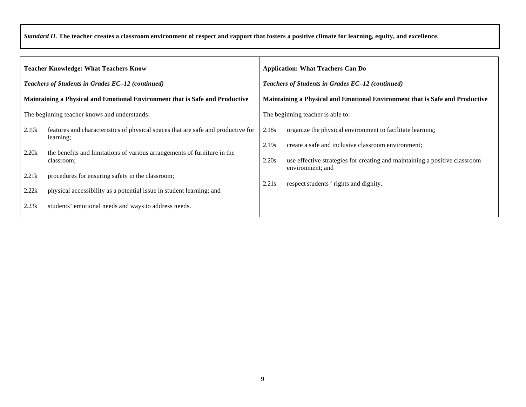| <b>Teacher Knowledge: What Teachers Know</b>                                        |                                                                                                                                                                                         | <b>Application: What Teachers Can Do</b>                                     |                                                                                                                                                                                               |
|-------------------------------------------------------------------------------------|-----------------------------------------------------------------------------------------------------------------------------------------------------------------------------------------|------------------------------------------------------------------------------|-----------------------------------------------------------------------------------------------------------------------------------------------------------------------------------------------|
| Teachers of Students in Grades EC-12 (continued)                                    |                                                                                                                                                                                         | Teachers of Students in Grades EC-12 (continued)                             |                                                                                                                                                                                               |
| <b>Maintaining a Physical and Emotional Environment that is Safe and Productive</b> |                                                                                                                                                                                         | Maintaining a Physical and Emotional Environment that is Safe and Productive |                                                                                                                                                                                               |
|                                                                                     | The beginning teacher knows and understands:                                                                                                                                            |                                                                              | The beginning teacher is able to:                                                                                                                                                             |
| 2.19k<br>2.20k                                                                      | features and characteristics of physical spaces that are safe and productive for<br>learning;<br>the benefits and limitations of various arrangements of furniture in the<br>classroom; | 2.18s<br>2.19s<br>2.20s                                                      | organize the physical environment to facilitate learning;<br>create a safe and inclusive classroom environment;<br>use effective strategies for creating and maintaining a positive classroom |
| 2.21k<br>2.22k<br>2.23k                                                             | procedures for ensuring safety in the classroom;<br>physical accessibility as a potential issue in student learning; and<br>students' emotional needs and ways to address needs.        | 2.21s                                                                        | environment; and<br>respect students' rights and dignity.                                                                                                                                     |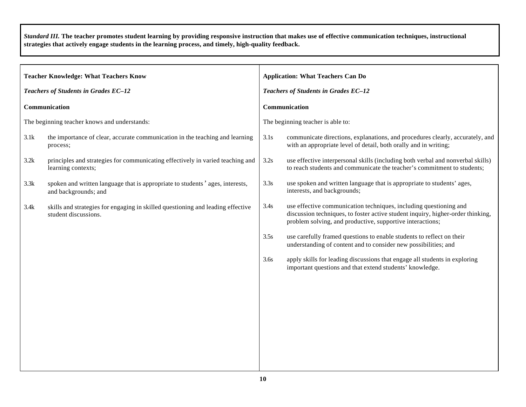*Standard III.* **The teacher promotes student learning by providing responsive instruction that makes use of effective communication techniques, instructional strategies that actively engage students in the learning process, and timely, high-quality feedback.** 

| <b>Teacher Knowledge: What Teachers Know</b> |                                                                                                         |      | <b>Application: What Teachers Can Do</b>                                                                                                                                                                          |  |  |
|----------------------------------------------|---------------------------------------------------------------------------------------------------------|------|-------------------------------------------------------------------------------------------------------------------------------------------------------------------------------------------------------------------|--|--|
| Teachers of Students in Grades EC-12         |                                                                                                         |      | Teachers of Students in Grades EC-12                                                                                                                                                                              |  |  |
| Communication                                |                                                                                                         |      | Communication                                                                                                                                                                                                     |  |  |
| The beginning teacher knows and understands: |                                                                                                         |      | The beginning teacher is able to:                                                                                                                                                                                 |  |  |
| 3.1k                                         | the importance of clear, accurate communication in the teaching and learning<br>process;                | 3.1s | communicate directions, explanations, and procedures clearly, accurately, and<br>with an appropriate level of detail, both orally and in writing;                                                                 |  |  |
| 3.2k                                         | principles and strategies for communicating effectively in varied teaching and<br>learning contexts;    | 3.2s | use effective interpersonal skills (including both verbal and nonverbal skills)<br>to reach students and communicate the teacher's commitment to students;                                                        |  |  |
| 3.3k                                         | spoken and written language that is appropriate to students' ages, interests,<br>and backgrounds; and   | 3.3s | use spoken and written language that is appropriate to students' ages,<br>interests, and backgrounds;                                                                                                             |  |  |
| 3.4k                                         | skills and strategies for engaging in skilled questioning and leading effective<br>student discussions. | 3.4s | use effective communication techniques, including questioning and<br>discussion techniques, to foster active student inquiry, higher-order thinking,<br>problem solving, and productive, supportive interactions; |  |  |
|                                              |                                                                                                         | 3.5s | use carefully framed questions to enable students to reflect on their<br>understanding of content and to consider new possibilities; and                                                                          |  |  |
|                                              |                                                                                                         | 3.6s | apply skills for leading discussions that engage all students in exploring<br>important questions and that extend students' knowledge.                                                                            |  |  |
|                                              |                                                                                                         |      |                                                                                                                                                                                                                   |  |  |
|                                              |                                                                                                         |      |                                                                                                                                                                                                                   |  |  |
|                                              |                                                                                                         |      |                                                                                                                                                                                                                   |  |  |
|                                              |                                                                                                         |      |                                                                                                                                                                                                                   |  |  |
|                                              |                                                                                                         |      |                                                                                                                                                                                                                   |  |  |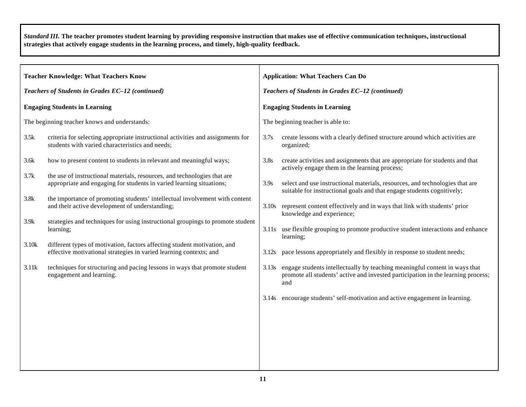*Standard III.* **The teacher promotes student learning by providing responsive instruction that makes use of effective communication techniques, instructional strategies that actively engage students in the learning process, and timely, high-quality feedback.** 

|                                                  | <b>Teacher Knowledge: What Teachers Know</b>                                                                                                     |       | <b>Application: What Teachers Can Do</b>                                                                                                                                    |  |  |
|--------------------------------------------------|--------------------------------------------------------------------------------------------------------------------------------------------------|-------|-----------------------------------------------------------------------------------------------------------------------------------------------------------------------------|--|--|
| Teachers of Students in Grades EC-12 (continued) |                                                                                                                                                  |       | Teachers of Students in Grades EC-12 (continued)                                                                                                                            |  |  |
|                                                  | <b>Engaging Students in Learning</b>                                                                                                             |       | <b>Engaging Students in Learning</b>                                                                                                                                        |  |  |
|                                                  | The beginning teacher knows and understands:                                                                                                     |       | The beginning teacher is able to:                                                                                                                                           |  |  |
| 3.5k                                             | criteria for selecting appropriate instructional activities and assignments for<br>students with varied characteristics and needs;               | 3.7s  | create lessons with a clearly defined structure around which activities are<br>organized;                                                                                   |  |  |
| 3.6k                                             | how to present content to students in relevant and meaningful ways;                                                                              | 3.8s  | create activities and assignments that are appropriate for students and that<br>actively engage them in the learning process;                                               |  |  |
| 3.7k                                             | the use of instructional materials, resources, and technologies that are<br>appropriate and engaging for students in varied learning situations; | 3.9s  | select and use instructional materials, resources, and technologies that are<br>suitable for instructional goals and that engage students cognitively;                      |  |  |
| 3.8k                                             | the importance of promoting students' intellectual involvement with content<br>and their active development of understanding;                    |       | 3.10s represent content effectively and in ways that link with students' prior<br>knowledge and experience;                                                                 |  |  |
| 3.9k                                             | strategies and techniques for using instructional groupings to promote student<br>learning;                                                      |       | 3.11s use flexible grouping to promote productive student interactions and enhance<br>learning;                                                                             |  |  |
| 3.10k                                            | different types of motivation, factors affecting student motivation, and<br>effective motivational strategies in varied learning contexts; and   | 3.12s | pace lessons appropriately and flexibly in response to student needs;                                                                                                       |  |  |
| 3.11k                                            | techniques for structuring and pacing lessons in ways that promote student<br>engagement and learning.                                           |       | 3.13s engage students intellectually by teaching meaningful content in ways that<br>promote all students' active and invested participation in the learning process;<br>and |  |  |
|                                                  |                                                                                                                                                  | 3.14s | encourage students' self-motivation and active engagement in learning.                                                                                                      |  |  |
|                                                  |                                                                                                                                                  |       |                                                                                                                                                                             |  |  |
|                                                  |                                                                                                                                                  |       |                                                                                                                                                                             |  |  |
|                                                  |                                                                                                                                                  |       |                                                                                                                                                                             |  |  |
|                                                  |                                                                                                                                                  |       |                                                                                                                                                                             |  |  |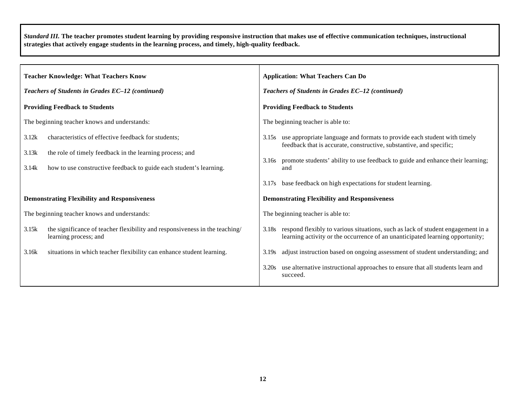*Standard III.* **The teacher promotes student learning by providing responsive instruction that makes use of effective communication techniques, instructional strategies that actively engage students in the learning process, and timely, high-quality feedback.** 

| <b>Teacher Knowledge: What Teachers Know</b>     |                                                                                                                                                                                       | <b>Application: What Teachers Can Do</b>         |                                                                                                                                                                                                                                                |  |  |
|--------------------------------------------------|---------------------------------------------------------------------------------------------------------------------------------------------------------------------------------------|--------------------------------------------------|------------------------------------------------------------------------------------------------------------------------------------------------------------------------------------------------------------------------------------------------|--|--|
| Teachers of Students in Grades EC-12 (continued) |                                                                                                                                                                                       | Teachers of Students in Grades EC-12 (continued) |                                                                                                                                                                                                                                                |  |  |
| <b>Providing Feedback to Students</b>            |                                                                                                                                                                                       |                                                  | <b>Providing Feedback to Students</b>                                                                                                                                                                                                          |  |  |
|                                                  | The beginning teacher knows and understands:                                                                                                                                          |                                                  | The beginning teacher is able to:                                                                                                                                                                                                              |  |  |
| 3.12k<br>3.13k<br>3.14k                          | characteristics of effective feedback for students;<br>the role of timely feedback in the learning process; and<br>how to use constructive feedback to guide each student's learning. | 3.16s                                            | 3.15s use appropriate language and formats to provide each student with timely<br>feedback that is accurate, constructive, substantive, and specific;<br>promote students' ability to use feedback to guide and enhance their learning;<br>and |  |  |
|                                                  | <b>Demonstrating Flexibility and Responsiveness</b>                                                                                                                                   | 3.17s                                            | base feedback on high expectations for student learning.<br><b>Demonstrating Flexibility and Responsiveness</b>                                                                                                                                |  |  |
|                                                  | The beginning teacher knows and understands:                                                                                                                                          |                                                  | The beginning teacher is able to:                                                                                                                                                                                                              |  |  |
| 3.15k                                            | the significance of teacher flexibility and responsiveness in the teaching/<br>learning process; and                                                                                  |                                                  | 3.18s respond flexibly to various situations, such as lack of student engagement in a<br>learning activity or the occurrence of an unanticipated learning opportunity;                                                                         |  |  |
| 3.16k                                            | situations in which teacher flexibility can enhance student learning.                                                                                                                 | 3.19s                                            | adjust instruction based on ongoing assessment of student understanding; and                                                                                                                                                                   |  |  |
|                                                  |                                                                                                                                                                                       | 3.20s                                            | use alternative instructional approaches to ensure that all students learn and<br>succeed.                                                                                                                                                     |  |  |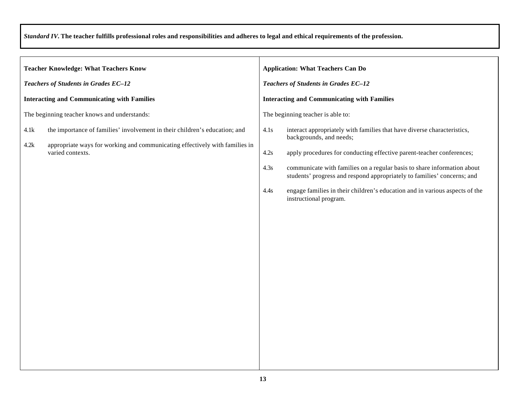| Teachers of Students in Grades EC-12                                                                                                                                                                                                                                                                                                                                                                                                       |  |  |
|--------------------------------------------------------------------------------------------------------------------------------------------------------------------------------------------------------------------------------------------------------------------------------------------------------------------------------------------------------------------------------------------------------------------------------------------|--|--|
| <b>Interacting and Communicating with Families</b>                                                                                                                                                                                                                                                                                                                                                                                         |  |  |
| The beginning teacher is able to:                                                                                                                                                                                                                                                                                                                                                                                                          |  |  |
| interact appropriately with families that have diverse characteristics,<br>backgrounds, and needs;<br>apply procedures for conducting effective parent-teacher conferences;<br>communicate with families on a regular basis to share information about<br>students' progress and respond appropriately to families' concerns; and<br>engage families in their children's education and in various aspects of the<br>instructional program. |  |  |
|                                                                                                                                                                                                                                                                                                                                                                                                                                            |  |  |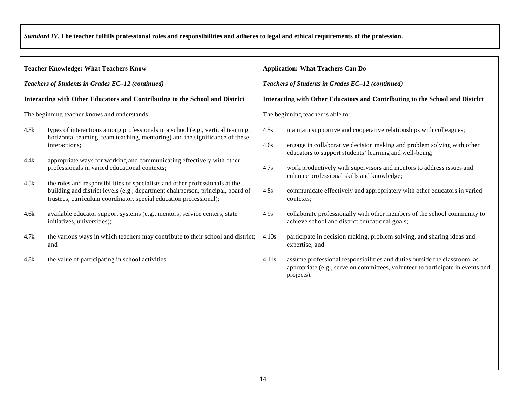| <b>Teacher Knowledge: What Teachers Know</b>                                                                                                                                                                                                                                                                                                                                                                                                                                                        | <b>Application: What Teachers Can Do</b>                                                                                                                                                                                                                                                                                                                                                                                                  |  |  |
|-----------------------------------------------------------------------------------------------------------------------------------------------------------------------------------------------------------------------------------------------------------------------------------------------------------------------------------------------------------------------------------------------------------------------------------------------------------------------------------------------------|-------------------------------------------------------------------------------------------------------------------------------------------------------------------------------------------------------------------------------------------------------------------------------------------------------------------------------------------------------------------------------------------------------------------------------------------|--|--|
| Teachers of Students in Grades EC-12 (continued)                                                                                                                                                                                                                                                                                                                                                                                                                                                    | Teachers of Students in Grades EC-12 (continued)                                                                                                                                                                                                                                                                                                                                                                                          |  |  |
| Interacting with Other Educators and Contributing to the School and District                                                                                                                                                                                                                                                                                                                                                                                                                        | Interacting with Other Educators and Contributing to the School and District                                                                                                                                                                                                                                                                                                                                                              |  |  |
| The beginning teacher knows and understands:                                                                                                                                                                                                                                                                                                                                                                                                                                                        | The beginning teacher is able to:                                                                                                                                                                                                                                                                                                                                                                                                         |  |  |
| 4.3k<br>types of interactions among professionals in a school (e.g., vertical teaming,<br>horizontal teaming, team teaching, mentoring) and the significance of these<br>interactions;<br>appropriate ways for working and communicating effectively with other<br>4.4k<br>professionals in varied educational contexts;<br>the roles and responsibilities of specialists and other professionals at the<br>4.5k<br>building and district levels (e.g., department chairperson, principal, board of | 4.5s<br>maintain supportive and cooperative relationships with colleagues;<br>engage in collaborative decision making and problem solving with other<br>4.6s<br>educators to support students' learning and well-being;<br>work productively with supervisors and mentors to address issues and<br>4.7s<br>enhance professional skills and knowledge;<br>4.8s<br>communicate effectively and appropriately with other educators in varied |  |  |
| trustees, curriculum coordinator, special education professional);<br>available educator support systems (e.g., mentors, service centers, state<br>4.6k<br>initiatives, universities);                                                                                                                                                                                                                                                                                                              | contexts;<br>collaborate professionally with other members of the school community to<br>4.9s<br>achieve school and district educational goals;                                                                                                                                                                                                                                                                                           |  |  |
| the various ways in which teachers may contribute to their school and district;<br>4.7k<br>and                                                                                                                                                                                                                                                                                                                                                                                                      | 4.10s<br>participate in decision making, problem solving, and sharing ideas and<br>expertise; and                                                                                                                                                                                                                                                                                                                                         |  |  |
| the value of participating in school activities.<br>4.8k                                                                                                                                                                                                                                                                                                                                                                                                                                            | 4.11s<br>assume professional responsibilities and duties outside the classroom, as<br>appropriate (e.g., serve on committees, volunteer to participate in events and<br>projects).                                                                                                                                                                                                                                                        |  |  |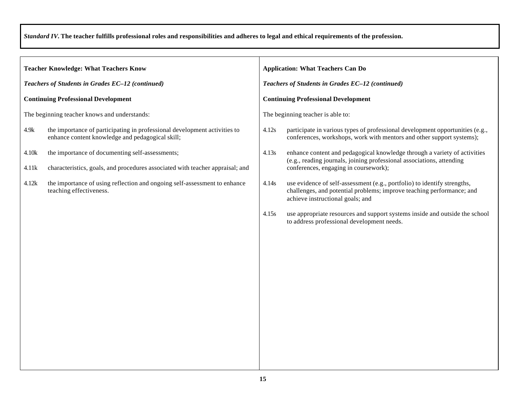| <b>Teacher Knowledge: What Teachers Know</b>     |                                                                                                                               | <b>Application: What Teachers Can Do</b>         |                                                                                                                                                                                       |  |
|--------------------------------------------------|-------------------------------------------------------------------------------------------------------------------------------|--------------------------------------------------|---------------------------------------------------------------------------------------------------------------------------------------------------------------------------------------|--|
| Teachers of Students in Grades EC-12 (continued) |                                                                                                                               | Teachers of Students in Grades EC-12 (continued) |                                                                                                                                                                                       |  |
| <b>Continuing Professional Development</b>       |                                                                                                                               | <b>Continuing Professional Development</b>       |                                                                                                                                                                                       |  |
| The beginning teacher knows and understands:     |                                                                                                                               | The beginning teacher is able to:                |                                                                                                                                                                                       |  |
| 4.9k                                             | the importance of participating in professional development activities to<br>enhance content knowledge and pedagogical skill; | 4.12s                                            | participate in various types of professional development opportunities (e.g.,<br>conferences, workshops, work with mentors and other support systems);                                |  |
| 4.10k                                            | the importance of documenting self-assessments;                                                                               | 4.13s                                            | enhance content and pedagogical knowledge through a variety of activities                                                                                                             |  |
| 4.11k                                            | characteristics, goals, and procedures associated with teacher appraisal; and                                                 |                                                  | (e.g., reading journals, joining professional associations, attending<br>conferences, engaging in coursework);                                                                        |  |
| 4.12k                                            | the importance of using reflection and ongoing self-assessment to enhance<br>teaching effectiveness.                          | 4.14s                                            | use evidence of self-assessment (e.g., portfolio) to identify strengths,<br>challenges, and potential problems; improve teaching performance; and<br>achieve instructional goals; and |  |
|                                                  |                                                                                                                               | 4.15s                                            | use appropriate resources and support systems inside and outside the school<br>to address professional development needs.                                                             |  |
|                                                  |                                                                                                                               |                                                  |                                                                                                                                                                                       |  |
|                                                  |                                                                                                                               |                                                  |                                                                                                                                                                                       |  |
|                                                  |                                                                                                                               |                                                  |                                                                                                                                                                                       |  |
|                                                  |                                                                                                                               |                                                  |                                                                                                                                                                                       |  |
|                                                  |                                                                                                                               |                                                  |                                                                                                                                                                                       |  |
|                                                  |                                                                                                                               |                                                  |                                                                                                                                                                                       |  |
|                                                  |                                                                                                                               |                                                  |                                                                                                                                                                                       |  |
|                                                  |                                                                                                                               |                                                  |                                                                                                                                                                                       |  |
|                                                  |                                                                                                                               |                                                  |                                                                                                                                                                                       |  |